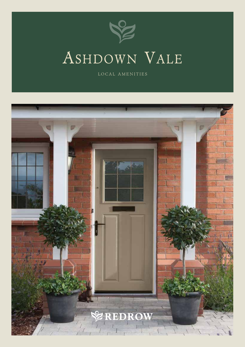

## Ashdown Vale

LOCAL AMENITIES

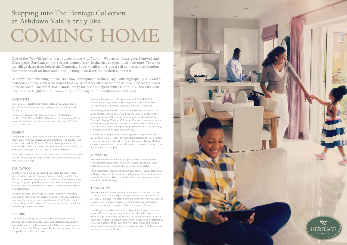#### AMENITIES

There is a Co-operative convenience store in Barnham village, with Tesco and Sainsburys supermarkets to be found in nearby Bognor Regis.

For doctors, register with The Croft Surgery in Barnham (Sat Nav PO20 3RP, call 01243 543240) and for dentists try Chantry House Dental Practice on Downview Road (Sat Nav PO22 0EE, call 01243 552566).

#### DINING

Dining in the Six Villages tends to be found within classic country gastro pubs, with the Murrell Arms in Barnham, The Wilkes Head in Eastergate and The Prince of Wales in Woodgate all highly recommended. There are also a few local restaurants, including the Basmati in Westergate and Passage to India in Barnham.

For a wider selection, head to the historic city of Chichester, or the seaside town of Bognor Regis, where you'll find something to suit every taste and budget.

#### EDUCATION

Education has been at the heart of the village for many years, with the village school, Barnham Primary, rated 'good' by Ofsted. This quaint country school fosters a real sense of local community amongst its pupils, providing an excellent start in life just a short distance from the development. Nearby Yapton Primary offers a local alternative.

For older children, Six Villages Academy, formerly Westergate Community School, is very much on the up, with new staff and a new name heralding a new era for the school. St Phillip Howard Catholic High, in the village of Barnham itself, is rated 'good with outstanding features' by Ofsted.

#### LEISURE

With the vast open spaces of the South Downs right on your doorstep, the possibilities for leisure and recreation are endless, from walking and climbing to mountain biking and watersports. Closer to home, Six Villages Sports Centre offers a range of courts and pitches for different sports.

Golfers will enjoy the challenge of Avisford Park Golf Club, close to the village, while horseracing enthusiasts will love the close proximity of Fontwell Park and 'glorious' Goodwood.

For evening entertainment, head for the friendly welcome of the many country inns in and around the Six Villages, or take a trip into town for the 100 year old Picturedrome, or the Alexander Theatre in Bognor Regis, or Chichester Cinema, home of an annual International Film Festival. Chichester is also home to the Festival Theatre, which boasts an impressive programme of shows including top actors and writers from the West End.

The beaches of Bognor Regis have long been a major draw, with no less than King George V spending time enjoying the sea breezes, giving the town its royal suffix. Today, the annual Bognor Birdman contest entertains the crowds each summer, as wild inventors try to fly off the end of the pier.

#### **SHOPPING**

Barnham and the surrounding villages all have a small selection of independent local shops, with the Windmill Shopping Village in Barnham offering a range of local produce and crafts.

For a more comprehensive shopping trip, head for Arun Retail Park in Bognor Regis, or the fascinating independent shops and stores of ancient Chichester, where you'll also find a range of major names, from John Lewis to Argos.

#### TRANSPORT

Barnham Station, in the centre of the village, boasts over 140 park and ride spaces and has regular directs services to London Victoria in 1hour 23minutes. The station also has swift services to the famous seaside resort of Bognor Regis, in just 8minutes, as well as direct trains to stations all the way to Bristol, a journey of 3hours.

The A29 passes to the west of the village at Westergate, with the major A27 trunk road passing to the north along the edge of the national park. The village lies equidistant from Chichester, Arundel and Bognor Regis, all around 7miles away. Brighton and Portsmouth are around 25miles to the east and west respectively and London lies around 65miles to the north. Gatwick airport is just 45miles and Heathrow is roughly 60miles.

One of the 'Six Villages' of West Sussex (along with Yapton, Walberton, Eastergate, Fontwell and Westergate). Barnham enjoys a classic country lifestyle that has changed little over time. Yet while the village dates from before the Domesday Book, it still enjoys direct rail connections to London Victoria in under an hour and a half, making it ideal for the modern commuter.

Ashdown Vale will bring an exclusive new development to the village, with high quality 3, 4 and 5 bedroom Heritage Collection homes that are perfect for such an historic setting. Reserve your new home between Chichester and Arundel today for just 5% deposit with Help to Buy, and take your place in this delightful rural community on the edge of the South Downs National.

### Stepping into The Heritage Collection at Ashdown Vale is truly like

# COMING HOME